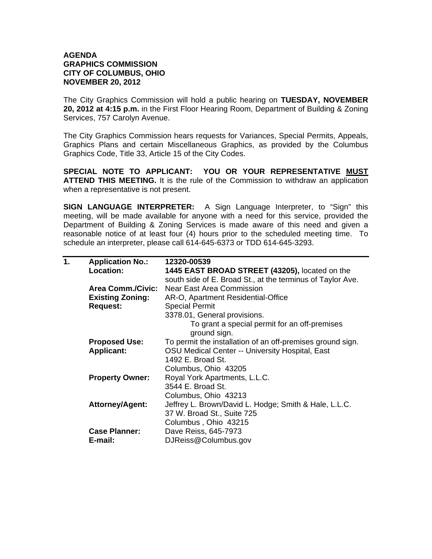## **AGENDA GRAPHICS COMMISSION CITY OF COLUMBUS, OHIO NOVEMBER 20, 2012**

The City Graphics Commission will hold a public hearing on **TUESDAY, NOVEMBER 20, 2012 at 4:15 p.m.** in the First Floor Hearing Room, Department of Building & Zoning Services, 757 Carolyn Avenue.

The City Graphics Commission hears requests for Variances, Special Permits, Appeals, Graphics Plans and certain Miscellaneous Graphics, as provided by the Columbus Graphics Code, Title 33, Article 15 of the City Codes.

**SPECIAL NOTE TO APPLICANT: YOU OR YOUR REPRESENTATIVE MUST ATTEND THIS MEETING.** It is the rule of the Commission to withdraw an application when a representative is not present.

**SIGN LANGUAGE INTERPRETER:** A Sign Language Interpreter, to "Sign" this meeting, will be made available for anyone with a need for this service, provided the Department of Building & Zoning Services is made aware of this need and given a reasonable notice of at least four (4) hours prior to the scheduled meeting time. To schedule an interpreter, please call 614-645-6373 or TDD 614-645-3293.

| 1. | <b>Application No.:</b>  | 12320-00539                                                |
|----|--------------------------|------------------------------------------------------------|
|    | Location:                | 1445 EAST BROAD STREET (43205), located on the             |
|    |                          | south side of E. Broad St., at the terminus of Taylor Ave. |
|    | <b>Area Comm./Civic:</b> | <b>Near East Area Commission</b>                           |
|    | <b>Existing Zoning:</b>  | AR-O, Apartment Residential-Office                         |
|    | <b>Request:</b>          | <b>Special Permit</b>                                      |
|    |                          | 3378.01, General provisions.                               |
|    |                          | To grant a special permit for an off-premises              |
|    |                          | ground sign.                                               |
|    | <b>Proposed Use:</b>     | To permit the installation of an off-premises ground sign. |
|    | <b>Applicant:</b>        | <b>OSU Medical Center -- University Hospital, East</b>     |
|    |                          | 1492 E. Broad St.                                          |
|    |                          | Columbus, Ohio 43205                                       |
|    | <b>Property Owner:</b>   | Royal York Apartments, L.L.C.                              |
|    |                          | 3544 E. Broad St.                                          |
|    |                          | Columbus, Ohio 43213                                       |
|    | <b>Attorney/Agent:</b>   | Jeffrey L. Brown/David L. Hodge; Smith & Hale, L.L.C.      |
|    |                          | 37 W. Broad St., Suite 725                                 |
|    |                          | Columbus, Ohio 43215                                       |
|    | <b>Case Planner:</b>     | Dave Reiss, 645-7973                                       |
|    | E-mail:                  | DJReiss@Columbus.gov                                       |
|    |                          |                                                            |